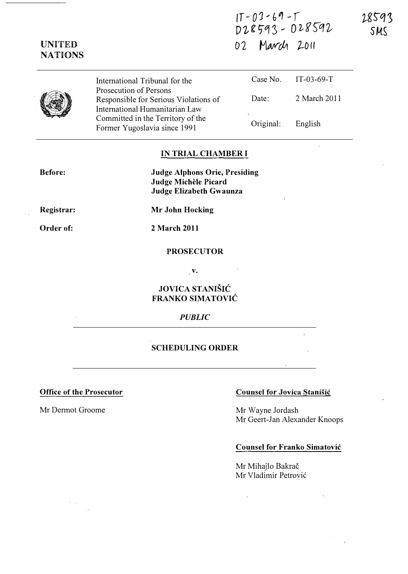$|1 - 0$  J  $- 6$   $9 - 1$ D28593 - 028592 02 March 2011

�gS-q3 SMS

|  | International Tribunal for the                                                                    |           | Case No. IT-03-69-T |
|--|---------------------------------------------------------------------------------------------------|-----------|---------------------|
|  | Prosecution of Persons<br>Responsible for Serious Violations of<br>International Humanitarian Law | Date:     | 2 March 2011        |
|  | Committed in the Territory of the<br>Former Yugoslavia since 1991                                 | Original: | English             |

# IN TRIAL CHAMBER I

Judge Alphons Orie, Presiding Judge Michele Picard Judge Elizabeth Gwaunza

Mr John Hocking

Registrar:

Before:

UNITED NATIONS

Order of:

2 March 2011

### PROSECUTOR

v.

# JOVICA STANIŠIĆ FRANKO SIMATOVIC

#### PUBLIC

## SCHEDULING ORDER

### Office of the Prosecutor Counsel for Jovica Stanisic

Mr Dermot Groome Mr Wayne Jordash Mr Geert-Jan Alexander Knoops

## Counsel for Franko Simatovic

Mr Mihajlo Bakrač Mr Vladimir Petrović

 $\bar{z}$